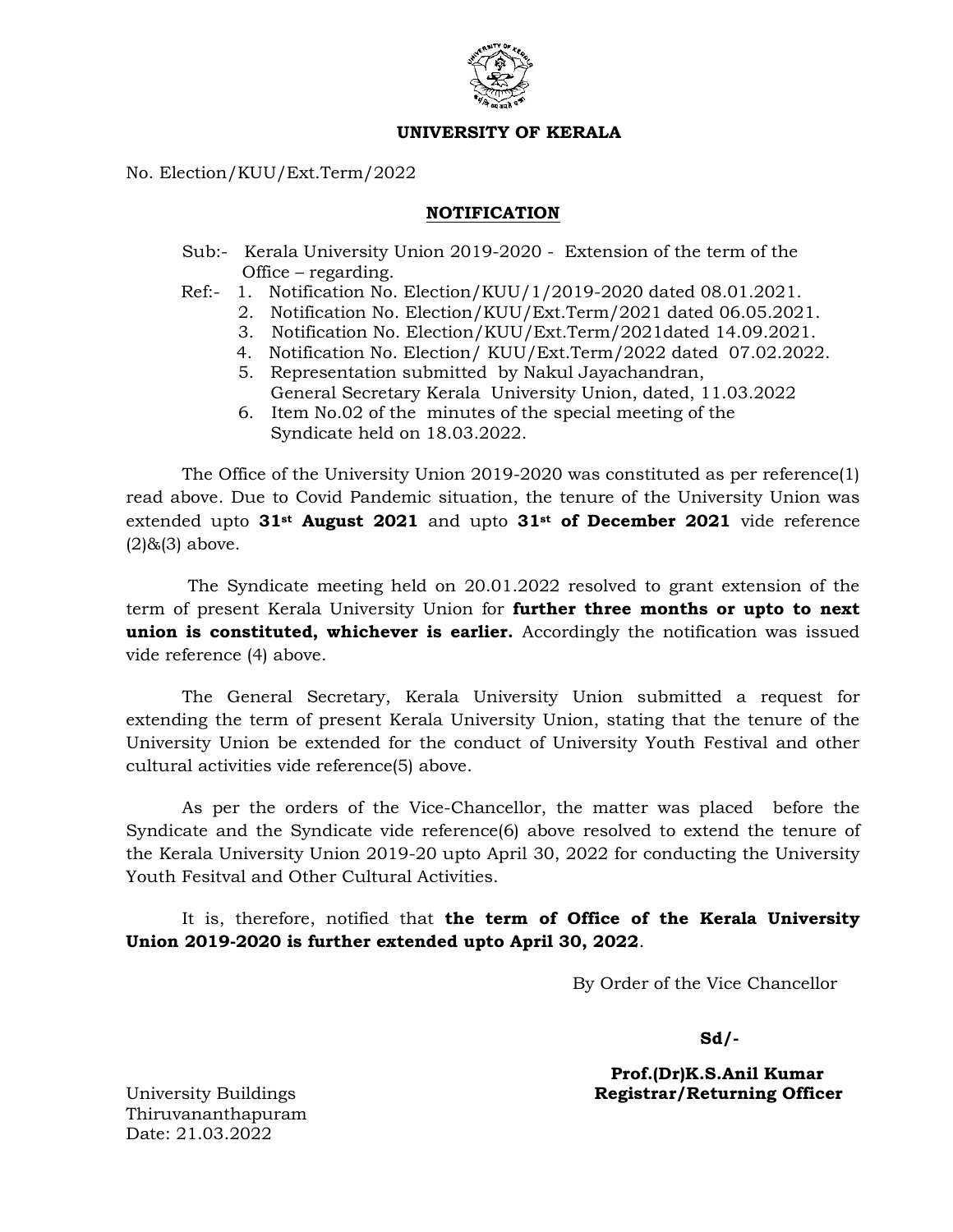

## UNIVERSITY OF KERALA

No. Election/KUU/Ext.Term/2022

## NOTIFICATION

- Sub:- Kerala University Union 2019-2020 Extension of the term of the Office – regarding.
- Ref:- 1. Notification No. Election/KUU/1/2019-2020 dated 08.01.2021.
	- 2. Notification No. Election/KUU/Ext.Term/2021 dated 06.05.2021.
	- 3. Notification No. Election/KUU/Ext.Term/2021dated 14.09.2021.
	- 4. Notification No. Election/ KUU/Ext.Term/2022 dated 07.02.2022.
	- 5. Representation submitted by Nakul Jayachandran, General Secretary Kerala University Union, dated, 11.03.2022
	- 6. Item No.02 of the minutes of the special meeting of the Syndicate held on 18.03.2022.

 The Office of the University Union 2019-2020 was constituted as per reference(1) read above. Due to Covid Pandemic situation, the tenure of the University Union was extended upto  $31^{st}$  August 2021 and upto  $31^{st}$  of December 2021 vide reference  $(2)$ & $(3)$  above.

The Syndicate meeting held on 20.01.2022 resolved to grant extension of the term of present Kerala University Union for **further three months or upto to next** union is constituted, whichever is earlier. Accordingly the notification was issued vide reference (4) above.

The General Secretary, Kerala University Union submitted a request for extending the term of present Kerala University Union, stating that the tenure of the University Union be extended for the conduct of University Youth Festival and other cultural activities vide reference(5) above.

As per the orders of the Vice-Chancellor, the matter was placed before the Syndicate and the Syndicate vide reference(6) above resolved to extend the tenure of the Kerala University Union 2019-20 upto April 30, 2022 for conducting the University Youth Fesitval and Other Cultural Activities.

It is, therefore, notified that the term of Office of the Kerala University Union 2019-2020 is further extended upto April 30, 2022.

By Order of the Vice Chancellor

Sd/-

 Prof.(Dr)K.S.Anil Kumar University Buildings **Registrar/Returning Officer** 

Thiruvananthapuram Date: 21.03.2022